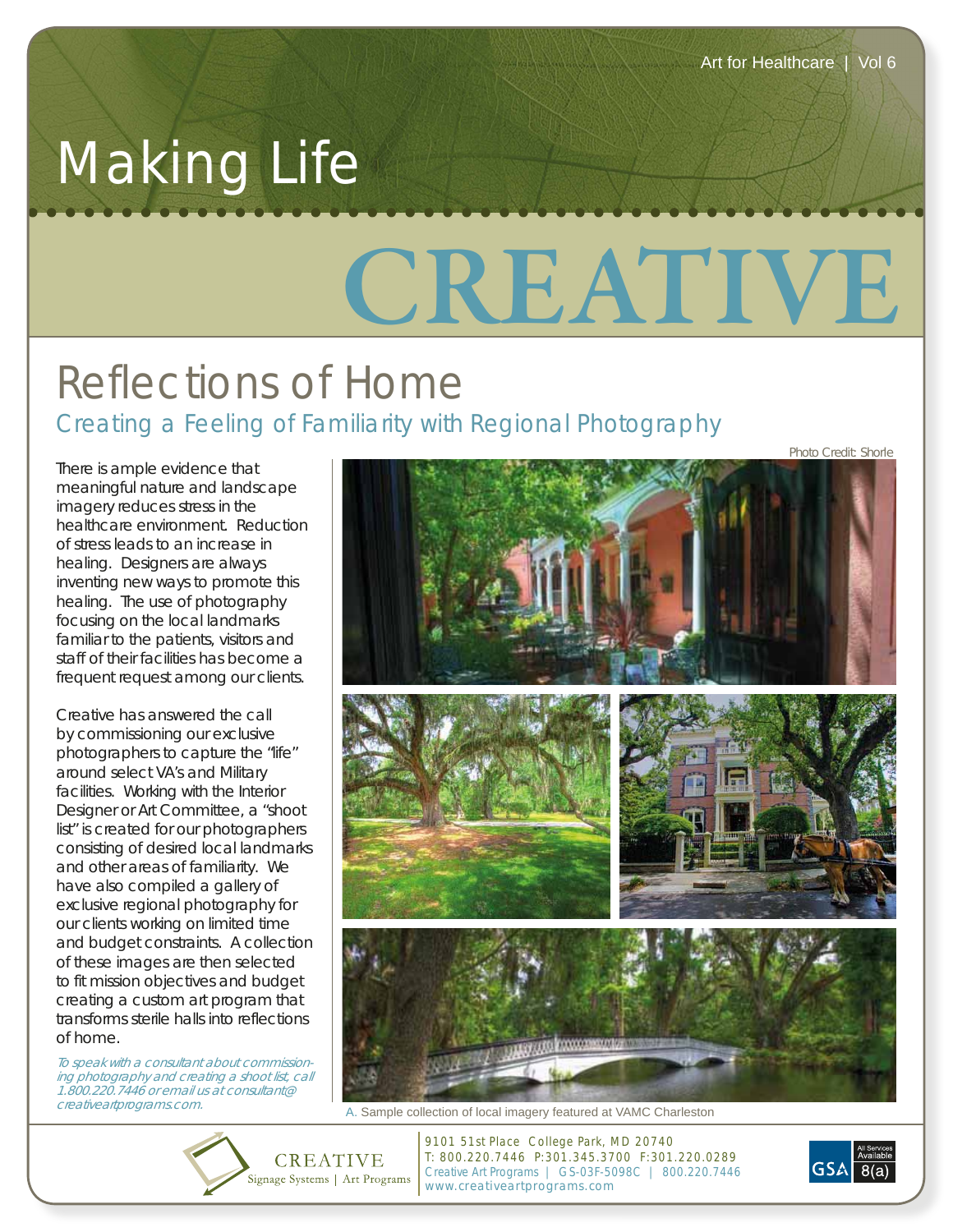*Photo Credit: Shorle*

## Making Life

## **CREATIVE**

## Reflections of Home Creating a Feeling of Familiarity with Regional Photography

There is ample evidence that meaningful nature and landscape imagery reduces stress in the healthcare environment. Reduction of stress leads to an increase in healing. Designers are always inventing new ways to promote this healing. The use of photography focusing on the local landmarks familiar to the patients, visitors and staff of their facilities has become a frequent request among our clients.

Creative has answered the call by commissioning our exclusive photographers to capture the "life" around select VA's and Military facilities. Working with the Interior Designer or Art Committee, a "shoot list" is created for our photographers consisting of desired local landmarks and other areas of familiarity. We have also compiled a gallery of exclusive regional photography for our clients working on limited time and budget constraints. A collection of these images are then selected to fit mission objectives and budget creating a custom art program that transforms sterile halls into reflections of home.

To speak with a consultant about commissioning photography and creating a shoot list, call 1.800.220.7446 or email us at consultant@



creativeartprograms.com. A. Sample collection of local imagery featured at VAMC Charleston